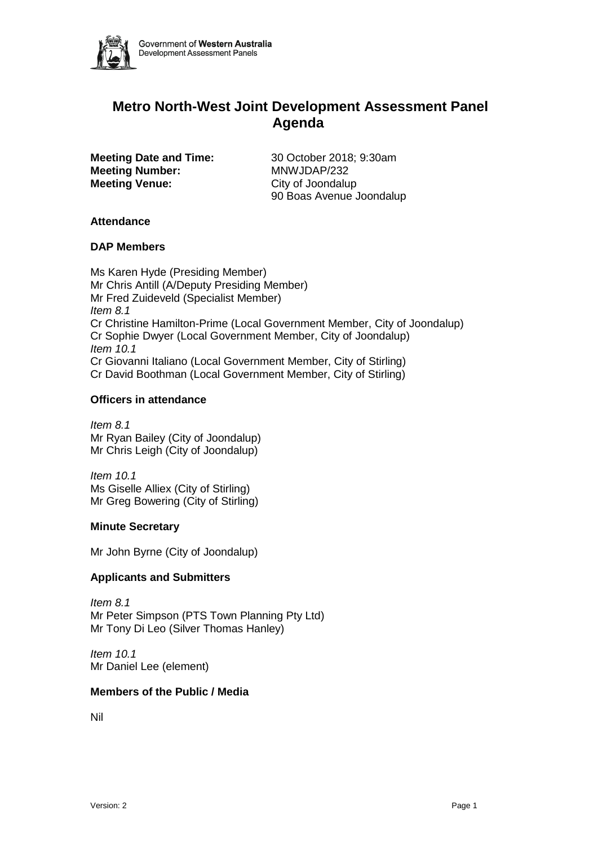

# **Metro North-West Joint Development Assessment Panel Agenda**

**Meeting Number:** MNWJDAP/232 **Meeting Venue:** City of Joondalup

**Meeting Date and Time:** 30 October 2018; 9:30am 90 Boas Avenue Joondalup

## **Attendance**

#### **DAP Members**

Ms Karen Hyde (Presiding Member) Mr Chris Antill (A/Deputy Presiding Member) Mr Fred Zuideveld (Specialist Member) *Item 8.1* Cr Christine Hamilton-Prime (Local Government Member, City of Joondalup) Cr Sophie Dwyer (Local Government Member, City of Joondalup) *Item 10.1* Cr Giovanni Italiano (Local Government Member, City of Stirling) Cr David Boothman (Local Government Member, City of Stirling)

## **Officers in attendance**

*Item 8.1* Mr Ryan Bailey (City of Joondalup) Mr Chris Leigh (City of Joondalup)

*Item 10.1* Ms Giselle Alliex (City of Stirling) Mr Greg Bowering (City of Stirling)

## **Minute Secretary**

Mr John Byrne (City of Joondalup)

## **Applicants and Submitters**

*Item 8.1* Mr Peter Simpson (PTS Town Planning Pty Ltd) Mr Tony Di Leo (Silver Thomas Hanley)

*Item 10.1* Mr Daniel Lee (element)

#### **Members of the Public / Media**

Nil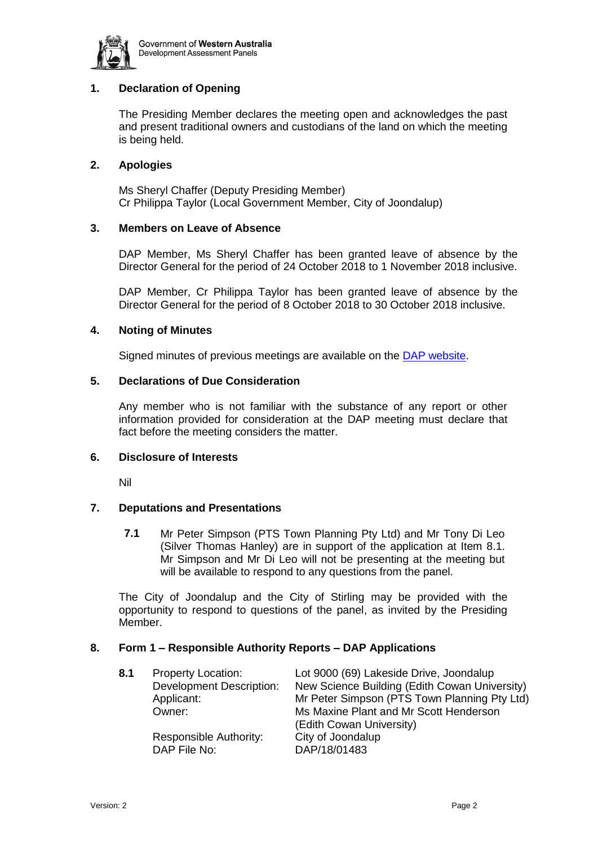

# **1. Declaration of Opening**

The Presiding Member declares the meeting open and acknowledges the past and present traditional owners and custodians of the land on which the meeting is being held.

### **2. Apologies**

Ms Sheryl Chaffer (Deputy Presiding Member) Cr Philippa Taylor (Local Government Member, City of Joondalup)

#### **3. Members on Leave of Absence**

DAP Member, Ms Sheryl Chaffer has been granted leave of absence by the Director General for the period of 24 October 2018 to 1 November 2018 inclusive.

DAP Member, Cr Philippa Taylor has been granted leave of absence by the Director General for the period of 8 October 2018 to 30 October 2018 inclusive.

#### **4. Noting of Minutes**

Signed minutes of previous meetings are available on the [DAP website.](https://www.planning.wa.gov.au/7578.aspx)

#### **5. Declarations of Due Consideration**

Any member who is not familiar with the substance of any report or other information provided for consideration at the DAP meeting must declare that fact before the meeting considers the matter.

#### **6. Disclosure of Interests**

Nil

## **7. Deputations and Presentations**

**7.1** Mr Peter Simpson (PTS Town Planning Pty Ltd) and Mr Tony Di Leo (Silver Thomas Hanley) are in support of the application at Item 8.1. Mr Simpson and Mr Di Leo will not be presenting at the meeting but will be available to respond to any questions from the panel.

The City of Joondalup and the City of Stirling may be provided with the opportunity to respond to questions of the panel, as invited by the Presiding Member.

## **8. Form 1 – Responsible Authority Reports – DAP Applications**

| 8.1 | <b>Property Location:</b>       | Lot 9000 (69) Lakeside Drive, Joondalup       |
|-----|---------------------------------|-----------------------------------------------|
|     | <b>Development Description:</b> | New Science Building (Edith Cowan University) |
|     | Applicant:                      | Mr Peter Simpson (PTS Town Planning Pty Ltd)  |
|     | Owner:                          | Ms Maxine Plant and Mr Scott Henderson        |
|     |                                 | (Edith Cowan University)                      |
|     | Responsible Authority:          | City of Joondalup                             |
|     | DAP File No:                    | DAP/18/01483                                  |